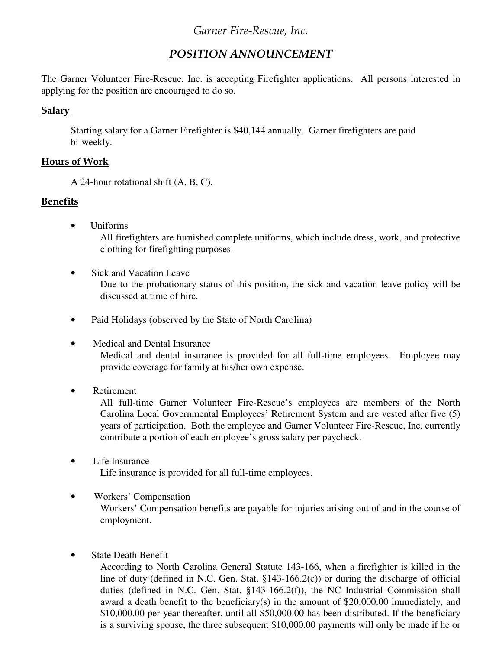# Garner Fire-Rescue, Inc.

## POSITION ANNOUNCEMENT

The Garner Volunteer Fire-Rescue, Inc. is accepting Firefighter applications. All persons interested in applying for the position are encouraged to do so.

#### Salary

Starting salary for a Garner Firefighter is \$40,144 annually. Garner firefighters are paid bi-weekly.

#### Hours of Work

A 24-hour rotational shift (A, B, C).

#### Benefits

• Uniforms

All firefighters are furnished complete uniforms, which include dress, work, and protective clothing for firefighting purposes.

• Sick and Vacation Leave

Due to the probationary status of this position, the sick and vacation leave policy will be discussed at time of hire.

- Paid Holidays (observed by the State of North Carolina)
- Medical and Dental Insurance

Medical and dental insurance is provided for all full-time employees. Employee may provide coverage for family at his/her own expense.

• Retirement

All full-time Garner Volunteer Fire-Rescue's employees are members of the North Carolina Local Governmental Employees' Retirement System and are vested after five (5) years of participation. Both the employee and Garner Volunteer Fire-Rescue, Inc. currently contribute a portion of each employee's gross salary per paycheck.

- Life Insurance Life insurance is provided for all full-time employees.
- Workers' Compensation

Workers' Compensation benefits are payable for injuries arising out of and in the course of employment.

• State Death Benefit

According to North Carolina General Statute 143-166, when a firefighter is killed in the line of duty (defined in N.C. Gen. Stat. §143-166.2(c)) or during the discharge of official duties (defined in N.C. Gen. Stat. §143-166.2(f)), the NC Industrial Commission shall award a death benefit to the beneficiary(s) in the amount of \$20,000.00 immediately, and \$10,000.00 per year thereafter, until all \$50,000.00 has been distributed. If the beneficiary is a surviving spouse, the three subsequent \$10,000.00 payments will only be made if he or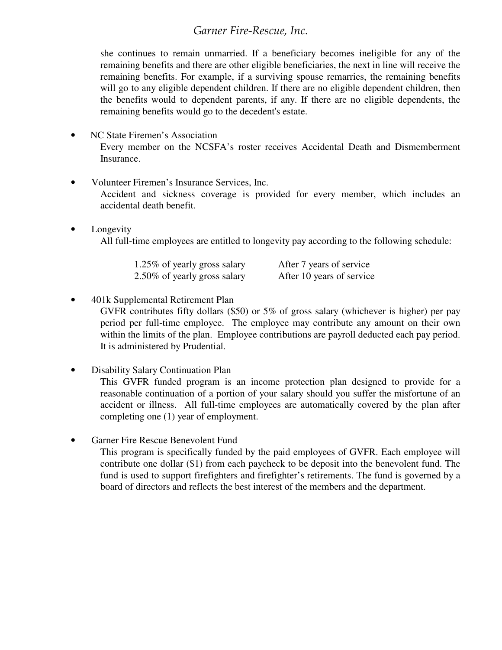# Garner Fire-Rescue, Inc.

she continues to remain unmarried. If a beneficiary becomes ineligible for any of the remaining benefits and there are other eligible beneficiaries, the next in line will receive the remaining benefits. For example, if a surviving spouse remarries, the remaining benefits will go to any eligible dependent children. If there are no eligible dependent children, then the benefits would to dependent parents, if any. If there are no eligible dependents, the remaining benefits would go to the decedent's estate.

- NC State Firemen's Association Every member on the NCSFA's roster receives Accidental Death and Dismemberment Insurance.
- Volunteer Firemen's Insurance Services, Inc.

Accident and sickness coverage is provided for every member, which includes an accidental death benefit.

**Longevity** All full-time employees are entitled to longevity pay according to the following schedule:

| 1.25% of yearly gross salary | After 7 years of service  |
|------------------------------|---------------------------|
| 2.50% of yearly gross salary | After 10 years of service |

• 401k Supplemental Retirement Plan

GVFR contributes fifty dollars (\$50) or 5% of gross salary (whichever is higher) per pay period per full-time employee. The employee may contribute any amount on their own within the limits of the plan. Employee contributions are payroll deducted each pay period. It is administered by Prudential.

• Disability Salary Continuation Plan

This GVFR funded program is an income protection plan designed to provide for a reasonable continuation of a portion of your salary should you suffer the misfortune of an accident or illness. All full-time employees are automatically covered by the plan after completing one (1) year of employment.

• Garner Fire Rescue Benevolent Fund

This program is specifically funded by the paid employees of GVFR. Each employee will contribute one dollar (\$1) from each paycheck to be deposit into the benevolent fund. The fund is used to support firefighters and firefighter's retirements. The fund is governed by a board of directors and reflects the best interest of the members and the department.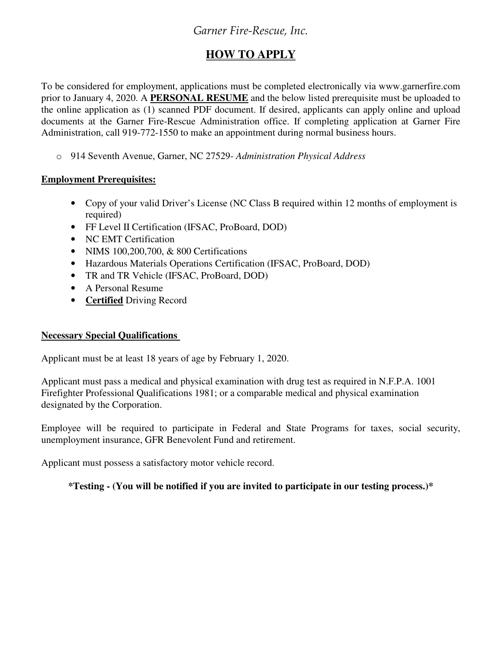# Garner Fire-Rescue, Inc.

# **HOW TO APPLY**

To be considered for employment, applications must be completed electronically via www.garnerfire.com prior to January 4, 2020. A **PERSONAL RESUME** and the below listed prerequisite must be uploaded to the online application as (1) scanned PDF document. If desired, applicants can apply online and upload documents at the Garner Fire-Rescue Administration office. If completing application at Garner Fire Administration, call 919-772-1550 to make an appointment during normal business hours.

o 914 Seventh Avenue, Garner, NC 27529- *Administration Physical Address*

### **Employment Prerequisites:**

- Copy of your valid Driver's License (NC Class B required within 12 months of employment is required)
- FF Level II Certification (IFSAC, ProBoard, DOD)
- NC EMT Certification
- NIMS 100,200,700, & 800 Certifications
- Hazardous Materials Operations Certification (IFSAC, ProBoard, DOD)
- TR and TR Vehicle (IFSAC, ProBoard, DOD)
- A Personal Resume
- **Certified** Driving Record

#### **Necessary Special Qualifications**

Applicant must be at least 18 years of age by February 1, 2020.

Applicant must pass a medical and physical examination with drug test as required in N.F.P.A. 1001 Firefighter Professional Qualifications 1981; or a comparable medical and physical examination designated by the Corporation.

Employee will be required to participate in Federal and State Programs for taxes, social security, unemployment insurance, GFR Benevolent Fund and retirement.

Applicant must possess a satisfactory motor vehicle record.

#### **\*Testing - (You will be notified if you are invited to participate in our testing process.)\***